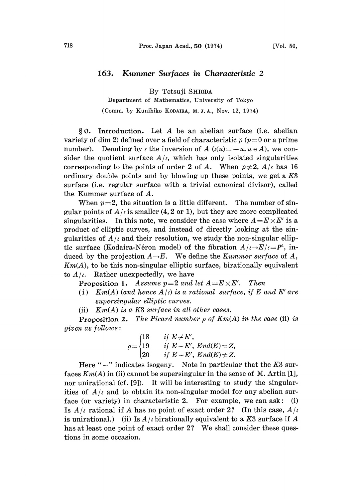## 163. Kummer Surfaces in Characteristic 2

By Tetsuji SHIODA

Department of Mathematics, University of Tokyo

(Comm. by Kunihiko KODAIRA, M. J. A., Nov. 12, 1974)

 $§ 0.$  Introduction. Let A be an abelian surface (i.e. abelian variety of dim 2) defined over a field of characteristic  $p (p=0 \text{ or a prime})$ number). Denoting by  $\iota$  the inversion of  $A(\iota(u)=-u, u \in A)$ , we consider the quotient surface  $A/\iota$ , which has only isolated singularities corresponding to the points of order 2 of A. When  $p\neq 2$ ,  $A/\iota$  has 16 ordinary double points and by blowing up these points, we get a K3 surface (i.e. regular surface with a trivial canonical divisor), called the Kummer surface of A.

When  $p=2$ , the situation is a little different. The number of singular points of  $A/\iota$  is smaller (4, 2 or 1), but they are more complicated singularities. In this note, we consider the case where  $A=E\times E'$  is a product of elliptic curves, and instead of directly looking at the singularities of  $A/\iota$  and their resolution, we study the non-singular elliptic surface (Kodaira-Néron model) of the fibration  $A/\iota \rightarrow E/\iota = P^1$ , induced by the projection  $A \rightarrow E$ . We define the *Kummer surface* of A,  $Km(A)$ , to be this non-singular elliptic surface, birationally equivalent to  $A/\iota$ . Rather unexpectedly, we have

**Proposition 1.** Assume  $p=2$  and let  $A=E\times E'$ . Then

- (i) Km(A) (and hence  $A(t)$  is a rational surface, if E and E' are supersingular elliptic curves.
- (ii)  $Km(A)$  is a K3 surface in all other cases.

**Proposition 2.** The Picard number  $\rho$  of  $Km(A)$  in the case (ii) is given as follows:

$$
\rho = \begin{cases} 18 & \text{if } E \neq E', \\ 19 & \text{if } E \sim E', \text{ End}(E) = Z, \\ 20 & \text{if } E \sim E', \text{ End}(E) \neq Z. \end{cases}
$$

Here " $\sim$ " indicates isogeny. Note in particular that the K3 sur-<br>s  $K_m(A)$  in (ii) cannot be supersingular in the sense of M, Artin [1] faces  $Km(A)$  in (ii) cannot be supersingular in the sense of M. Artin [1], nor unirational (cf. [9]). It will be interesting to study the singularities of  $A/\iota$  and to obtain its non-singular model for any abelian surface (or variety) in characteristic 2. For example, we can ask: (i) Is  $A/\iota$  rational if A has no point of exact order 2? (In this case,  $A/\iota$ ) is unirational.) (ii) Is  $A/\iota$  birationally equivalent to a K3 surface if A has at least one point of exact order 2? We shall consider these questions in some occasion.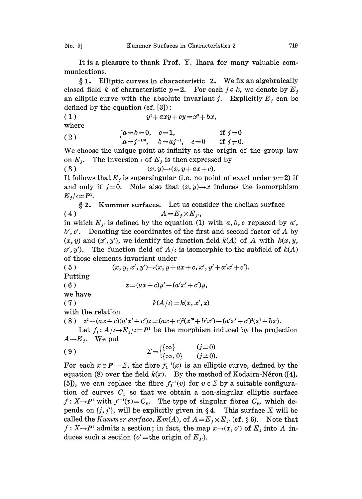It is a pleasure to thank Prof. Y. Ihara for many valuable communications.

 $§ 1.$  Elliptic curves in characteristic 2. We fix an algebraically closed field k of characteristic  $p=2$ . For each  $j \in k$ , we denote by  $E_j$ . an elliptic curve with the absolute invariant j. Explicitly  $E_j$  can be defined by the equation (cf. [3]):

$$
(1) \t\t y^2+axy+cy=x^3+bx,
$$

where

(2) 
$$
\begin{cases} a=b=0, & c=1, \\ a=j^{-1/6}, & b=aj^{-1}, c=0 \end{cases} \text{ if } j=0
$$

We choose the unique point at infinity as the origin of the group law on  $E_j$ . The inversion  $\iota$  of  $E_j$  is then expressed by<br>(3)  $(x, y) \rightarrow (x, y + ax + c)$ .

 $(x, y) \rightarrow (x, y + ax + c).$ 

It follows that  $E_j$  is supersingular (i.e. no point of exact order  $p=2$ ) if and only if  $j=0$ . Note also that  $(x, y) \rightarrow x$  induces the isomorphism  $E_j/\iota \simeq P^1$ .

2. Kummer surfaces. Let us consider the abelian surface (4)  $A=E_j\times E_j$ ,

in which  $E_{j'}$  is defined by the equation (1) with a, b, c replaced by a',  $b', c'$ . Denoting the coordinates of the first and second factor of A by  $(x, y)$  and  $(x', y')$ , we identify the function field  $k(A)$  of A with  $k(x, y, y')$ x', y'). The function field of  $A/\iota$  is isomorphic to the subfield of  $k(A)$ of those elements invariant under

(5)  $(x, y, x', y') \rightarrow (x, y + ax + c, x', y' + a'x' + c').$ Putting

$$
(6) \t z = (ax + c)y' - (a'x' + c')y,
$$

we have

( 7 )  $k(A/t) = k(x, x', z)$ 

with the relation

( 8 )  $z^2 - (ax + c)(a'x' + c')z = (ax + c)^2(x'^3 + b'x') - (a'x' + c')^2(x^3 + bx).$ 

 $z^2 - (ax + c)(a'x' + c')z = (ax + c)^2(x'' + b'x') - (a'x' + c')^2(x^3 + bx).$ <br>
Let  $f_1: A/c \rightarrow E_j/c = P^1$  be the morphism induced by the projection  $E$ . We put  $A\rightarrow E_j$ . We put

$$
\Sigma = \begin{cases} \{\infty\} & (j=0) \\ \{\infty, 0\} & (j \neq 0). \end{cases}
$$

For each  $x \in P^1 \setminus \Sigma$ , the fibre  $f_1^{-1}(x)$  is an elliptic curve, defined by the equation (8) over the field  $k(x)$ . By the method of Kodaira-Néron ([4], [5]), we can replace the fibre  $f_1^{-1}(v)$  for  $v \in \Sigma$  by a suitable configuration of curves  $C_v$  so that we obtain a non-singular elliptic surface  $f: X \rightarrow P^1$  with  $f^{-1}(v) = C_v$ . The type of singular fibres  $C_v$ , which depends on  $\{j, j'\}$ , will be explicitly given in §4. This surface X will be called the Kummer surface,  $Km(A)$ , of  $A = E_i \times E_i$  (cf. § 6). Note that  $f: X \rightarrow P^1$  admits a section; in fact, the map  $x \rightarrow (x, o')$  of  $E_i$  into A induces such a section ( $o'$  = the origin of  $E_{j'}$ ).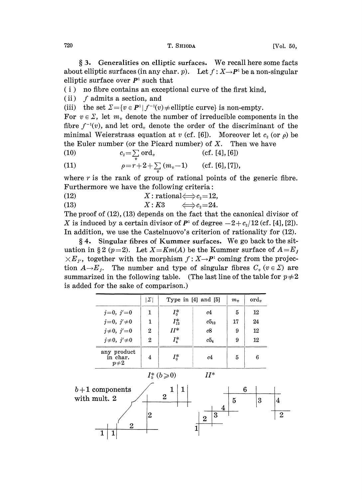3. Generalities on elliptic surfaces. We recall here some facts about elliptic surfaces (in any char. p). Let  $f: X \rightarrow P^1$  be a non-singular elliptic surface over  $P<sup>1</sup>$  such that

- (i) no fibre contains an exceptional curve of the first kind,
- (ii)  $f$  admits a section, and

(iii) the set  $\Sigma = \{v \in P^1 | f^{-1}(v) \neq \text{elliptic curve}\}$  is non-empty.

For  $v \in \Sigma$ , let  $m_v$  denote the number of irreducible components in the fibre  $f^{-1}(v)$ , and let ord, denote the order of the discriminant of the minimal Weierstrass equation at v (cf. [6]). Moreover let  $c_2$  (or  $\rho$ ) be the Euler number (or the Picard number) of X. Then we have <br>(10)  $c_2 = \sum \text{ord}_v$  (cf. [4], [6])

$$
(10) \t\t\t c2=\sum \text{ord}_v \t\t (cf. [4], [6])
$$

(11) 
$$
\rho = r + 2 + \sum_{v} (m_v - 1) \quad \text{(cf. [6], [7]),}
$$

where  $r$  is the rank of group of rational points of the generic fibre. Furthermore we have the following criteria:

(12)  $X: \text{ rational} \Longleftrightarrow c_2 = 12,$ <br>
(13)  $X: K3 \Longleftrightarrow c_2 = 24.$ <br>
The grant of (13) (13) depends on the fact that

$$
(13) \hspace{3.1em} X:K3 \hspace{3.1em} \Longleftrightarrow c_2=24
$$

The proof of (12), (13) depends on the fact that the canonical divisor of X is induced by a certain divisor of  $P<sup>1</sup>$  of degree  $-2+c_2/12$  (cf. [4], [2]). In addition, we use the Castelnuovo's criterion of rationality for (12).

4. Singular fibres of Kummer surfaces. We go back to the situation in §2 (p=2). Let  $X=Km(A)$  be the Kummer surface of  $A=E_j$  $\times E_{i'}$ , together with the morphism  $f: X \rightarrow P^1$  coming from the projection  $A\rightarrow E_j$ . The number and type of singular fibres  $C_v$  ( $v \in \Sigma$ ) are summarized in the following table. (The last line of the table for  $p\neq 2$ is added for the sake of comparison.)

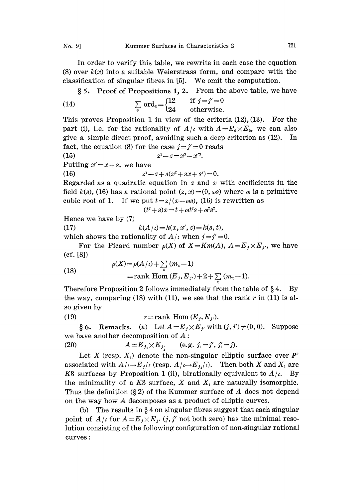In order to verify this table, we rewrite in each case the equation (8) over  $k(x)$  into a suitable Weierstrass form, and compare with the classification of singular fibres in  $[5]$ . We omit the computation.

5. Proof of Propositions 1, 2. From the above table, we have

(14) 
$$
\sum_{v} \text{ord}_{v} = \begin{cases} 12 & \text{if } j = j' = 0 \\ 24 & \text{otherwise.} \end{cases}
$$

This proves Proposition 1 in view of the criteria  $(12)$ ,  $(13)$ . For the part (i), i.e. for the rationality of  $A/\iota$  with  $A=E_0\times E_0$ , we can also give a simple direct proof, avoiding such a deep criterion as (12). In fact, the equation (8) for the case  $j=j' = 0$  reads

(15) 
$$
z^{2}-z=x^{3}-x'^{3}.
$$
Putting  $x'=x+s$ , we have  
(16) 
$$
z^{2}-z+s(x^{2}+sx+s^{2})=0.
$$

Regarded as a quadratic equation in  $z$  and  $x$  with coefficients in the field  $k(s)$ , (16) has a rational point  $(z, x) = (0, \omega s)$  where  $\omega$  is a primitive cubic root of 1. If we put  $t = z/(x - \omega s)$ , (16) is rewritten as

$$
(t^2+s)x\!=\!t+\omega t^2 s+\omega^2 s^2.
$$

Hence we have by (7)

(17)  $k(A/t) = k(x, x', z) = k(s, t),$ 

which shows the rationality of  $A/\iota$  when  $j=j'=0$ .

For the Picard number  $\rho(X)$  of  $X=Km(A)$ ,  $A=E_j\times E_j$ , we have  $(cf. [8])$ 

(18)  
\n
$$
\rho(X) = \rho(A/\iota) + \sum_{v} (m_v - 1)
$$
\n
$$
= \text{rank Hom}(E_j, E_j) + 2 + \sum_{v} (m_v - 1).
$$

Therefore Proposition 2 follows immediately from the table of  $\S 4$ . By the way, comparing (18) with (11), we see that the rank  $r$  in (11) is also given by

(19) 
$$
r = \text{rank Hom}(E_j, E_{j'}).
$$

§ 6. Remarks. (a) Let  $A=E_j\times E_j$  with  $(j, j')\neq(0, 0)$ . Suppose we have another decomposition of  $A$ :

(20)  $A \simeq E_{j_1} \times E_{j_1}$  (e.g.  $j_1 = j', j'_1 = j$ ).

Let X (resp.  $X_1$ ) denote the non-singular elliptic surface over  $P<sup>1</sup>$ associated with  $A/\iota \rightarrow E_j/\iota$  (resp.  $A/\iota \rightarrow E_j/\iota$ ). Then both X and  $X_i$  are K3 surfaces by Proposition 1 (ii), birationally equivalent to  $A/\iota$ . By the minimality of a K3 surface, X and  $X_1$  are naturally isomorphic. Thus the definition ( $\S 2$ ) of the Kummer surface of A does not depend on the way how A decomposes as <sup>a</sup> product of elliptic curves.

(b) The results in  $\S 4$  on singular fibres suggest that each singular point of  $A/\iota$  for  $A = E_j \times E_{j'}$  (j, j' not both zero) has the minimal resolution consisting of the following configuration of non-singular rational curves